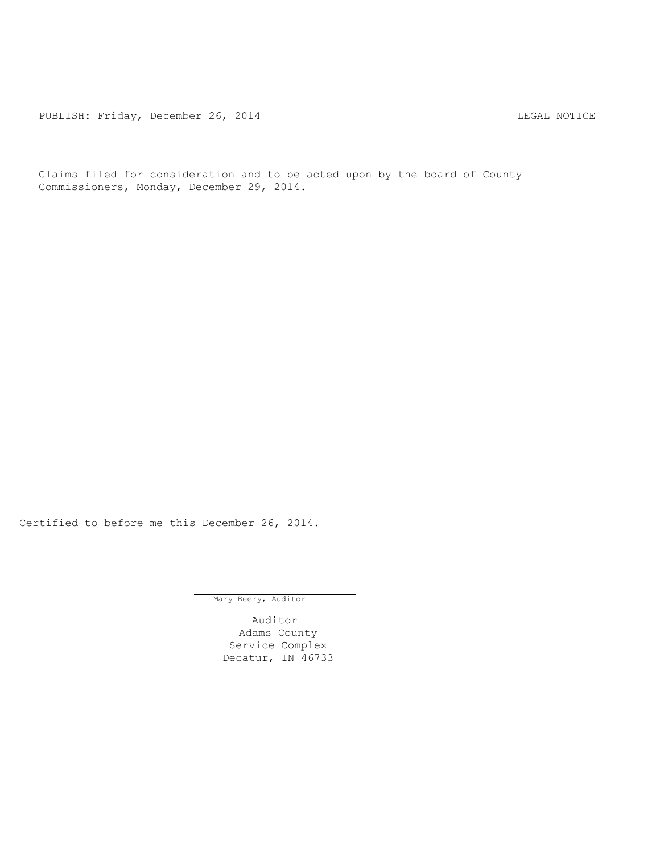PUBLISH: Friday, December 26, 2014 CHA CHANGER AND THE REGAL NOTICE

Claims filed for consideration and to be acted upon by the board of County Commissioners, Monday, December 29, 2014.

Certified to before me this December 26, 2014.

Mary Beery, Auditor

Auditor Adams County Service Complex Decatur, IN 46733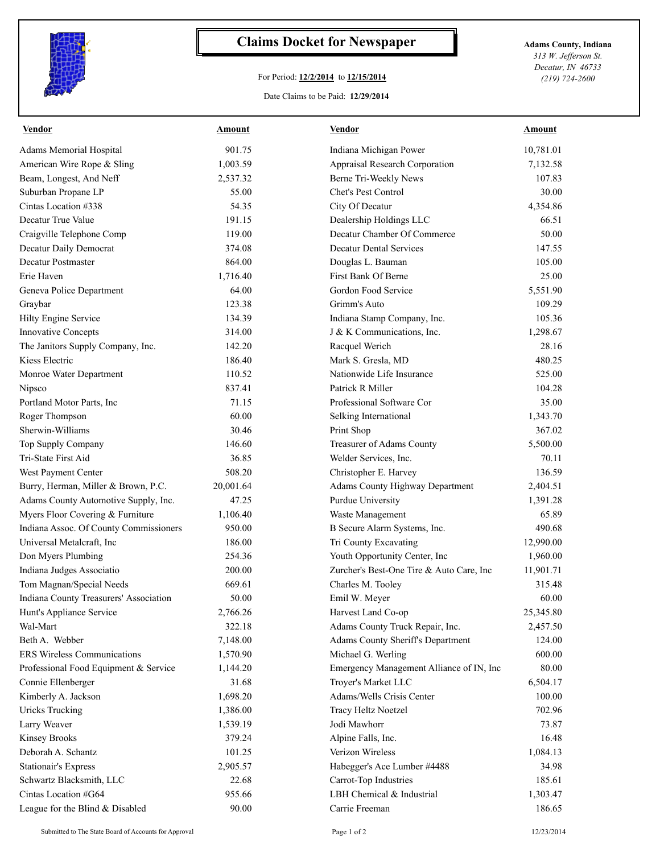

## **Claims Docket for Newspaper Adams County, Indiana**

## For Period: **12/2/2014** to **12/15/2014**

*313 W. Jefferson St. Decatur, IN 46733 (219) 724-2600*

## Date Claims to be Paid: **12/29/2014**

| <b>Vendor</b>                          | <b>Amount</b> | <b>Vendor</b>                            | <b>Amount</b>         |
|----------------------------------------|---------------|------------------------------------------|-----------------------|
| Adams Memorial Hospital                | 901.75        | Indiana Michigan Power                   | 10,781.01             |
| American Wire Rope & Sling             | 1,003.59      | Appraisal Research Corporation           | 7,132.58              |
| Beam, Longest, And Neff                | 2,537.32      | Berne Tri-Weekly News                    | 107.83                |
| Suburban Propane LP                    | 55.00         | <b>Chet's Pest Control</b>               | 30.00                 |
| Cintas Location #338                   | 54.35         | City Of Decatur                          | 4,354.86              |
| Decatur True Value                     | 191.15        | Dealership Holdings LLC                  | 66.51                 |
| Craigville Telephone Comp              | 119.00        | Decatur Chamber Of Commerce              | 50.00                 |
| Decatur Daily Democrat                 | 374.08        | <b>Decatur Dental Services</b>           | 147.55                |
| <b>Decatur Postmaster</b>              | 864.00        | Douglas L. Bauman                        | 105.00                |
| Erie Haven                             | 1,716.40      | First Bank Of Berne                      | 25.00                 |
| Geneva Police Department               | 64.00         | Gordon Food Service                      | 5,551.90              |
| Graybar                                | 123.38        | Grimm's Auto                             | 109.29                |
| Hilty Engine Service                   | 134.39        | Indiana Stamp Company, Inc.              | 105.36                |
| <b>Innovative Concepts</b>             | 314.00        | J & K Communications, Inc.               | 1,298.67              |
| The Janitors Supply Company, Inc.      | 142.20        | Racquel Werich                           | 28.16                 |
| Kiess Electric                         | 186.40        | Mark S. Gresla, MD                       | 480.25                |
| Monroe Water Department                | 110.52        | Nationwide Life Insurance                | 525.00                |
| Nipsco                                 | 837.41        | Patrick R Miller                         | 104.28                |
| Portland Motor Parts, Inc              | 71.15         | Professional Software Cor                | 35.00                 |
| Roger Thompson                         | 60.00         | Selking International                    | 1,343.70              |
| Sherwin-Williams                       | 30.46         | Print Shop                               | 367.02                |
| Top Supply Company                     | 146.60        | Treasurer of Adams County                | 5,500.00              |
| Tri-State First Aid                    | 36.85         | Welder Services, Inc.                    | 70.11                 |
| West Payment Center                    | 508.20        | Christopher E. Harvey                    | 136.59                |
| Burry, Herman, Miller & Brown, P.C.    | 20,001.64     | Adams County Highway Department          | 2,404.51              |
| Adams County Automotive Supply, Inc.   | 47.25         | Purdue University                        | 1,391.28              |
| Myers Floor Covering & Furniture       | 1,106.40      | Waste Management                         | 65.89                 |
| Indiana Assoc. Of County Commissioners | 950.00        | B Secure Alarm Systems, Inc.             | 490.68                |
| Universal Metalcraft, Inc.             | 186.00        | Tri County Excavating                    | 12,990.00             |
| Don Myers Plumbing                     | 254.36        | Youth Opportunity Center, Inc            | 1,960.00              |
| Indiana Judges Associatio              | 200.00        | Zurcher's Best-One Tire & Auto Care, Inc | 11,901.71             |
| Tom Magnan/Special Needs               | 669.61        | Charles M. Tooley                        | 315.48                |
| Indiana County Treasurers' Association | 50.00         | Emil W. Meyer                            | 60.00                 |
| Hunt's Appliance Service               | 2,766.26      |                                          |                       |
|                                        |               | Harvest Land Co-op                       | 25,345.80<br>2,457.50 |
| Wal-Mart                               | 322.18        | Adams County Truck Repair, Inc.          |                       |
| Beth A. Webber                         | 7,148.00      | Adams County Sheriff's Department        | 124.00                |
| ERS Wireless Communications            | 1,570.90      | Michael G. Werling                       | 600.00                |
| Professional Food Equipment & Service  | 1,144.20      | Emergency Management Alliance of IN, Inc | 80.00                 |
| Connie Ellenberger                     | 31.68         | Troyer's Market LLC                      | 6,504.17              |
| Kimberly A. Jackson                    | 1,698.20      | Adams/Wells Crisis Center                | 100.00                |
| Uricks Trucking                        | 1,386.00      | <b>Tracy Heltz Noetzel</b>               | 702.96                |
| Larry Weaver                           | 1,539.19      | Jodi Mawhorr                             | 73.87                 |
| <b>Kinsey Brooks</b>                   | 379.24        | Alpine Falls, Inc.                       | 16.48                 |
| Deborah A. Schantz                     | 101.25        | Verizon Wireless                         | 1,084.13              |
| <b>Stationair's Express</b>            | 2,905.57      | Habegger's Ace Lumber #4488              | 34.98                 |
| Schwartz Blacksmith, LLC               | 22.68         | Carrot-Top Industries                    | 185.61                |
| Cintas Location #G64                   | 955.66        | LBH Chemical & Industrial                | 1,303.47              |
| League for the Blind & Disabled        | 90.00         | Carrie Freeman                           | 186.65                |